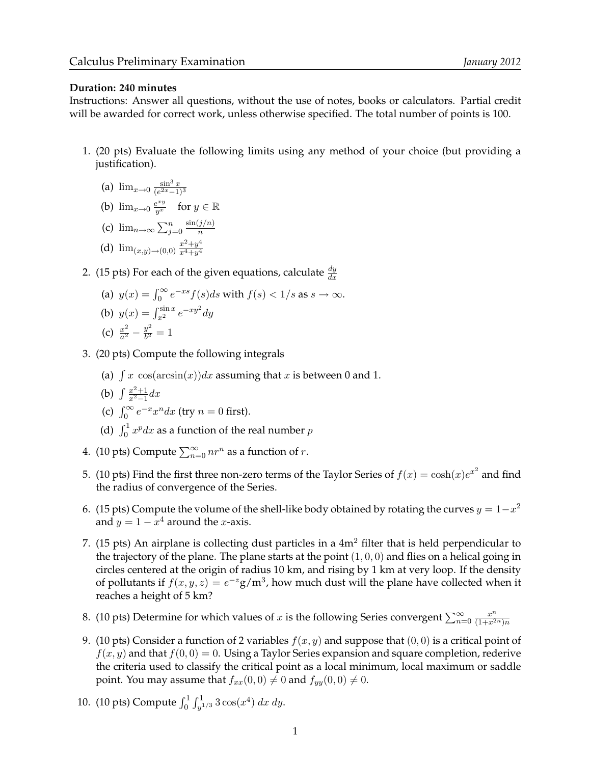## **Duration: 240 minutes**

Instructions: Answer all questions, without the use of notes, books or calculators. Partial credit will be awarded for correct work, unless otherwise specified. The total number of points is 100.

- 1. (20 pts) Evaluate the following limits using any method of your choice (but providing a justification).
	- (a)  $\lim_{x\to 0} \frac{\sin^3 x}{(e^{2x}-1)}$  $(e^{2x}-1)^3$
	- (b)  $\lim_{x\to 0} \frac{e^{xy}}{y^x}$  $\frac{e^{xy}}{y^x}$  for  $y\in\mathbb{R}$
	- (c)  $\lim_{n\to\infty}\sum_{j=0}^n$  $\sin(j/n)$  $\overline{n}$
	- (d)  $\lim_{(x,y)\to(0,0)}\frac{x^2+y^4}{x^4+y^4}$  $x^4+y^4$
- 2. (15 pts) For each of the given equations, calculate  $\frac{dy}{dx}$ 
	- (a)  $y(x) = \int_0^\infty e^{-xs} f(s)ds$  with  $f(s) < 1/s$  as  $s \to \infty$ .

(b) 
$$
y(x) = \int_{x^2}^{\sin x} e^{-xy^2} dy
$$

- (c)  $\frac{x^2}{a^2}$  $rac{x^2}{a^2} - \frac{y^2}{b^2}$  $\frac{y^2}{b^2}=1$
- 3. (20 pts) Compute the following integrals
	- (a)  $\int x \cos(\arcsin(x))dx$  assuming that x is between 0 and 1.
	- (b)  $\int \frac{x^2+1}{x^2-1}$  $rac{x^2+1}{x^2-1}dx$
	- (c)  $\int_0^\infty e^{-x} x^n dx$  (try  $n = 0$  first).
	- (d)  $\int_0^1 x^p dx$  as a function of the real number  $p$
- 4. (10 pts) Compute  $\sum_{n=0}^{\infty} n r^n$  as a function of r.
- 5. (10 pts) Find the first three non-zero terms of the Taylor Series of  $f(x) = \cosh(x) e^{x^2}$  and find the radius of convergence of the Series.
- 6. (15 pts) Compute the volume of the shell-like body obtained by rotating the curves  $y = 1-x^2$ and  $y = 1 - x^4$  around the *x*-axis.
- 7. (15 pts) An airplane is collecting dust particles in a  $4m<sup>2</sup>$  filter that is held perpendicular to the trajectory of the plane. The plane starts at the point  $(1, 0, 0)$  and flies on a helical going in circles centered at the origin of radius 10 km, and rising by 1 km at very loop. If the density of pollutants if  $f(x, y, z) = e^{-z}g/m^3$ , how much dust will the plane have collected when it reaches a height of 5 km?
- 8. (10 pts) Determine for which values of  $x$  is the following Series convergent  $\sum_{n=0}^{\infty} \frac{x^n}{(1+x^2)}$  $\sqrt{(1+x^{2n})n}$
- 9. (10 pts) Consider a function of 2 variables  $f(x, y)$  and suppose that  $(0, 0)$  is a critical point of  $f(x, y)$  and that  $f(0, 0) = 0$ . Using a Taylor Series expansion and square completion, rederive the criteria used to classify the critical point as a local minimum, local maximum or saddle point. You may assume that  $f_{xx}(0, 0) \neq 0$  and  $f_{yy}(0, 0) \neq 0$ .
- 10. (10 pts) Compute  $\int_0^1 \int_{y^{1/3}}^1 3 \cos(x^4) dx dy$ .